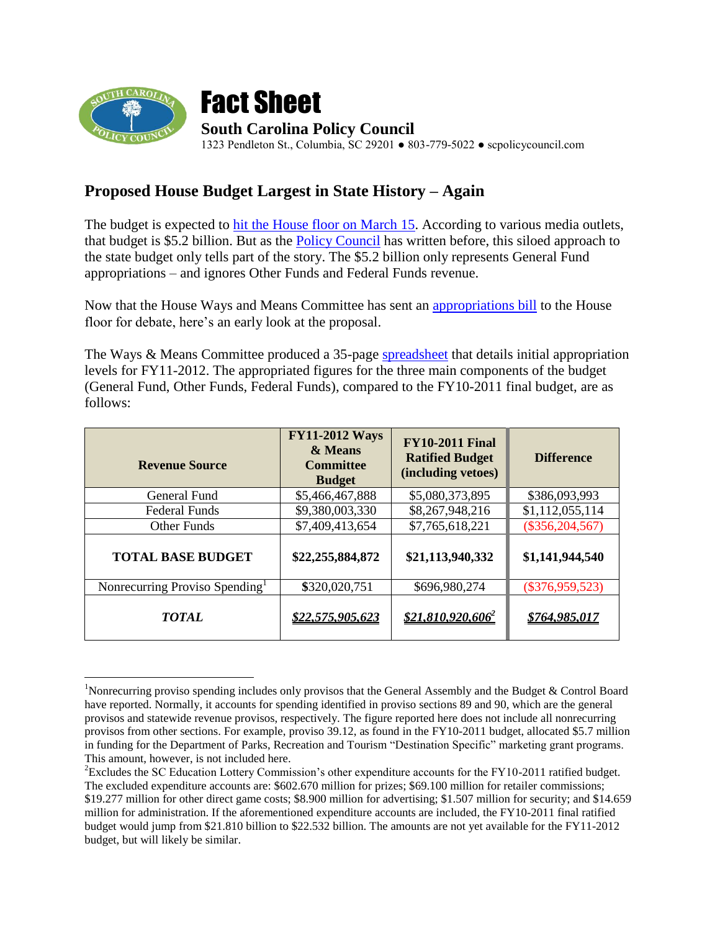

 $\overline{a}$ 



## **Proposed House Budget Largest in State History – Again**

The budget is expected to hit [the House floor on March 15.](http://www.postandcourier.com/news/2011/feb/24/sc-52b-spending-bill-wins-ok-heads-house/) According to various media outlets, that budget is \$5.2 billion. But as the [Policy Council](http://www.scpolicycouncil.com/pdf/Budget_Report.pdf) has written before, this siloed approach to the state budget only tells part of the story. The \$5.2 billion only represents General Fund appropriations – and ignores Other Funds and Federal Funds revenue.

Now that the House Ways and Means Committee has sent an [appropriations bill](http://www.scstatehouse.gov/sess119_2011-2012/appropriations2011/gabxxxx.htm) to the House floor for debate, here's an early look at the proposal.

The Ways & Means Committee produced a 35-page [spreadsheet](http://www.scstatehouse.gov/citizensinterestpage/Ways&MeansMeetingHandouts/H3700WaysandMeansAppropriationsBillSpreadsheet.pdf) that details initial appropriation levels for FY11-2012. The appropriated figures for the three main components of the budget (General Fund, Other Funds, Federal Funds), compared to the FY10-2011 final budget, are as follows:

| <b>Revenue Source</b>                      | <b>FY11-2012 Ways</b><br>& Means<br><b>Committee</b><br><b>Budget</b> | <b>FY10-2011 Final</b><br><b>Ratified Budget</b><br>(including vetoes) | <b>Difference</b>   |
|--------------------------------------------|-----------------------------------------------------------------------|------------------------------------------------------------------------|---------------------|
| General Fund                               | \$5,466,467,888                                                       | \$5,080,373,895                                                        | \$386,093,993       |
| <b>Federal Funds</b>                       | \$9,380,003,330                                                       | \$8,267,948,216                                                        | \$1,112,055,114     |
| Other Funds                                | \$7,409,413,654                                                       | \$7,765,618,221                                                        | $(\$356, 204, 567)$ |
| <b>TOTAL BASE BUDGET</b>                   | \$22,255,884,872                                                      | \$21,113,940,332                                                       | \$1,141,944,540     |
| Nonrecurring Proviso Spending <sup>1</sup> | \$320,020,751                                                         | \$696,980,274                                                          | $(\$376,959,523)$   |
| <b>TOTAL</b>                               | \$22,575,905,623                                                      | $$21.810.920.606$ <sup>2</sup>                                         | \$764,985,017       |

<sup>&</sup>lt;sup>1</sup>Nonrecurring proviso spending includes only provisos that the General Assembly and the Budget & Control Board have reported. Normally, it accounts for spending identified in proviso sections 89 and 90, which are the general provisos and statewide revenue provisos, respectively. The figure reported here does not include all nonrecurring provisos from other sections. For example, proviso 39.12, as found in the FY10-2011 budget, allocated \$5.7 million in funding for the Department of Parks, Recreation and Tourism "Destination Specific" marketing grant programs. This amount, however, is not included here.

<sup>&</sup>lt;sup>2</sup>Excludes the SC Education Lottery Commission's other expenditure accounts for the FY10-2011 ratified budget. The excluded expenditure accounts are: \$602.670 million for prizes; \$69.100 million for retailer commissions; \$19.277 million for other direct game costs; \$8.900 million for advertising; \$1.507 million for security; and \$14.659 million for administration. If the aforementioned expenditure accounts are included, the FY10-2011 final ratified budget would jump from \$21.810 billion to \$22.532 billion. The amounts are not yet available for the FY11-2012 budget, but will likely be similar.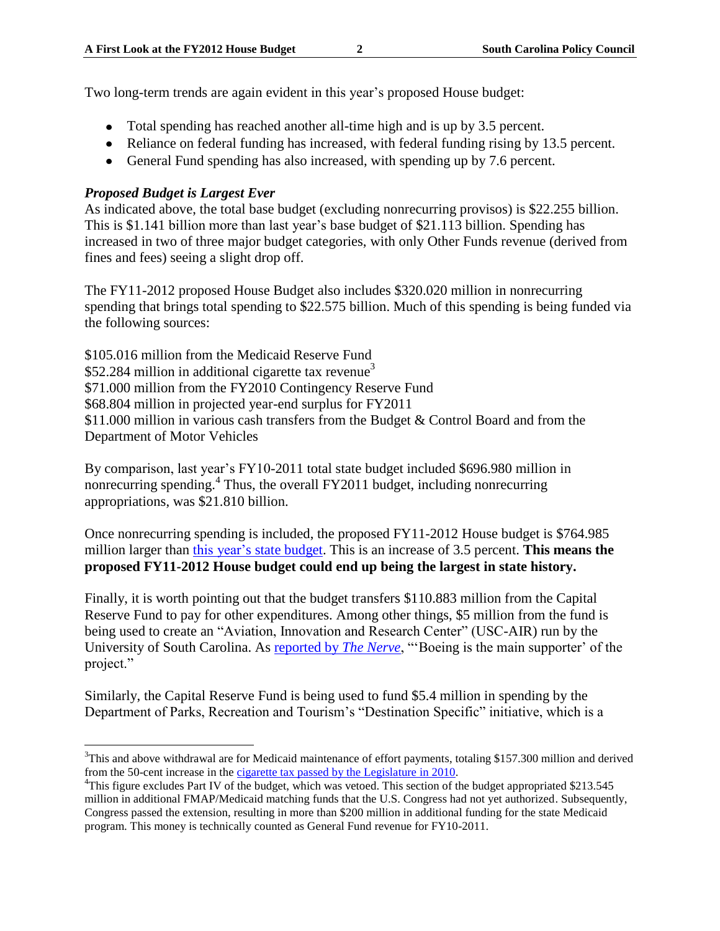Two long-term trends are again evident in this year's proposed House budget:

- Total spending has reached another all-time high and is up by 3.5 percent.
- Reliance on federal funding has increased, with federal funding rising by 13.5 percent.
- General Fund spending has also increased, with spending up by 7.6 percent.

## *Proposed Budget is Largest Ever*

As indicated above, the total base budget (excluding nonrecurring provisos) is \$22.255 billion. This is \$1.141 billion more than last year"s base budget of \$21.113 billion. Spending has increased in two of three major budget categories, with only Other Funds revenue (derived from fines and fees) seeing a slight drop off.

The FY11-2012 proposed House Budget also includes \$320.020 million in nonrecurring spending that brings total spending to \$22.575 billion. Much of this spending is being funded via the following sources:

\$105.016 million from the Medicaid Reserve Fund \$52.284 million in additional cigarette tax revenue<sup>3</sup> \$71.000 million from the FY2010 Contingency Reserve Fund \$68.804 million in projected year-end surplus for FY2011 \$11.000 million in various cash transfers from the Budget & Control Board and from the Department of Motor Vehicles

By comparison, last year"s FY10-2011 total state budget included \$696.980 million in nonrecurring spending.<sup>4</sup> Thus, the overall FY2011 budget, including nonrecurring appropriations, was \$21.810 billion.

Once nonrecurring spending is included, the proposed FY11-2012 House budget is \$764.985 million larger than this year's state budget. This is an increase of 3.5 percent. **This means the proposed FY11-2012 House budget could end up being the largest in state history.**

Finally, it is worth pointing out that the budget transfers \$110.883 million from the Capital Reserve Fund to pay for other expenditures. Among other things, \$5 million from the fund is being used to create an "Aviation, Innovation and Research Center" (USC-AIR) run by the University of South Carolina. As [reported by](http://www.thenerve.org/Comments/11-03-01/Expensive_Taxpayer_Gift_Offered_to_Boeing.aspx?searchid=e725e057-a714-46c0-a2ab-e4766d8d9405&nocomments=true) *The Nerve*, ""Boeing is the main supporter" of the project."

Similarly, the Capital Reserve Fund is being used to fund \$5.4 million in spending by the Department of Parks, Recreation and Tourism"s "Destination Specific" initiative, which is a

 $\overline{a}$  $3$ This and above withdrawal are for Medicaid maintenance of effort payments, totaling \$157.300 million and derived from the 50-cent increase in the [cigarette tax passed by the Legislature in 2010.](http://www.scpolicycouncil.com/research-and-publications-/budget/917-general-assembly-votes-to-kill-4100-jobs)

<sup>&</sup>lt;sup>4</sup>This figure excludes Part IV of the budget, which was vetoed. This section of the budget appropriated \$213.545 million in additional FMAP/Medicaid matching funds that the U.S. Congress had not yet authorized. Subsequently, Congress passed the extension, resulting in more than \$200 million in additional funding for the state Medicaid program. This money is technically counted as General Fund revenue for FY10-2011.